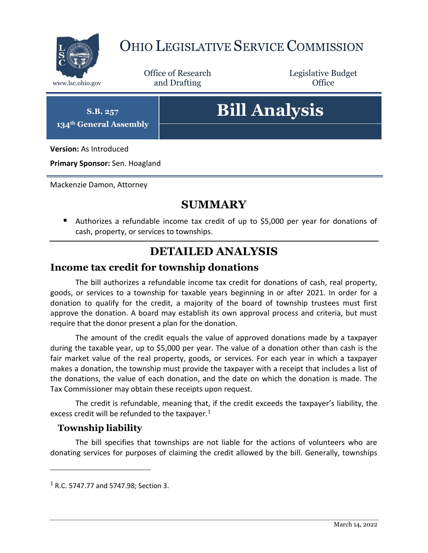

## OHIO LEGISLATIVE SERVICE COMMISSION

Office of Research www.lsc.ohio.gov **and Drafting Office** 

Legislative Budget

**S.B. 257 134th General Assembly**

# **Bill Analysis**

**Version:** As Introduced

**Primary Sponsor:** Sen. Hoagland

Mackenzie Damon, Attorney

#### **SUMMARY**

 Authorizes a refundable income tax credit of up to \$5,000 per year for donations of cash, property, or services to townships.

### **DETAILED ANALYSIS**

#### **Income tax credit for township donations**

The bill authorizes a refundable income tax credit for donations of cash, real property, goods, or services to a township for taxable years beginning in or after 2021. In order for a donation to qualify for the credit, a majority of the board of township trustees must first approve the donation. A board may establish its own approval process and criteria, but must require that the donor present a plan for the donation.

The amount of the credit equals the value of approved donations made by a taxpayer during the taxable year, up to \$5,000 per year. The value of a donation other than cash is the fair market value of the real property, goods, or services. For each year in which a taxpayer makes a donation, the township must provide the taxpayer with a receipt that includes a list of the donations, the value of each donation, and the date on which the donation is made. The Tax Commissioner may obtain these receipts upon request.

The credit is refundable, meaning that, if the credit exceeds the taxpayer's liability, the excess credit will be refunded to the taxpayer.<sup>1</sup>

#### **Township liability**

 $\overline{a}$ 

The bill specifies that townships are not liable for the actions of volunteers who are donating services for purposes of claiming the credit allowed by the bill. Generally, townships

<sup>1</sup> R.C. 5747.77 and 5747.98; Section 3.